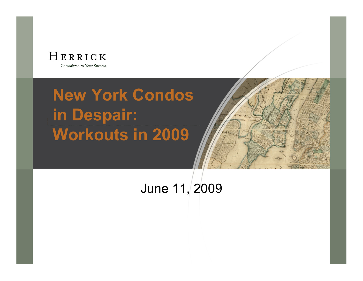

# **New York Condos in Despair: Workouts in 2009**



June 11, 2009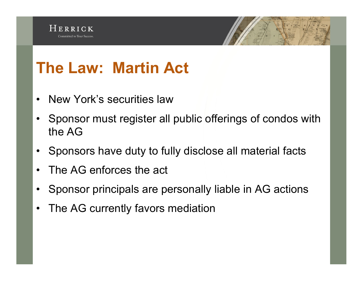

# **The Law: Martin Act**

- New York's securities law
- Sponsor must register all public offerings of condos with the AG
- Sponsors have duty to fully disclose all material facts
- The AG enforces the act
- Sponsor principals are personally liable in AG actions
- The AG currently favors mediation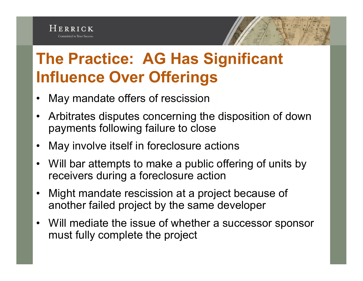## **The Practice: AG Has Significant Influence Over Offerings**

- May mandate offers of rescission
- Arbitrates disputes concerning the disposition of down payments following failure to close
- May involve itself in foreclosure actions
- Will bar attempts to make a public offering of units by receivers during a foreclosure action
- Might mandate rescission at a project because of another failed project by the same developer
- Will mediate the issue of whether a successor sponsor must fully complete the project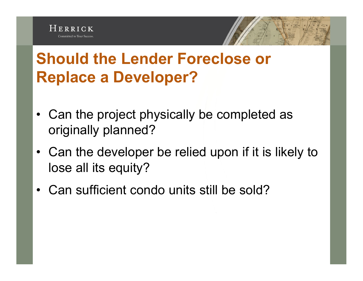



- Can the project physically be completed as originally planned?
- Can the developer be relied upon if it is likely to lose all its equity?
- Can sufficient condo units still be sold?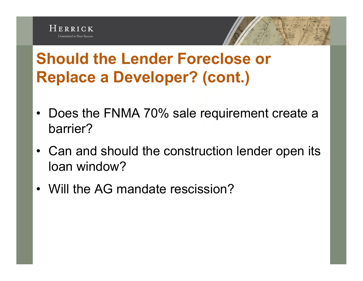



- Does the FNMA 70% sale requirement create a barrier?
- Can and should the construction lender open its loan window?
- Will the AG mandate rescission?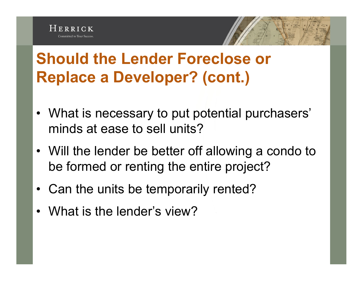

#### **Should the Lender Foreclose or Replace a Developer? (cont.)**

- What is necessary to put potential purchasers' minds at ease to sell units?
- Will the lender be better off allowing a condo to be formed or renting the entire project?
- Can the units be temporarily rented?
- What is the lender's view?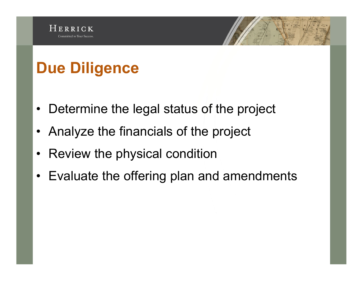# **Due Diligence**

- Determine the legal status of the project
- Analyze the financials of the project
- Review the physical condition
- Evaluate the offering plan and amendments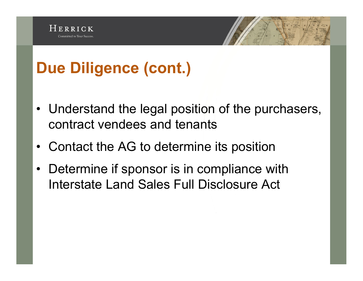

- Understand the legal position of the purchasers, contract vendees and tenants
- Contact the AG to determine its position
- Determine if sponsor is in compliance with Interstate Land Sales Full Disclosure Act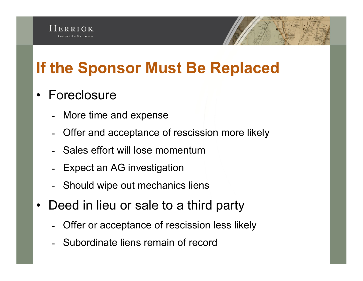# **If the Sponsor Must Be Replaced**

#### • Foreclosure

- More time and expense
- ـ Offer and acceptance of rescission more likely
- ـ Sales effort will lose momentum
- Expect an AG investigation
- ـ Should wipe out mechanics liens
- Deed in lieu or sale to a third party
	- ـ Offer or acceptance of rescission less likely
	- ـ Subordinate liens remain of record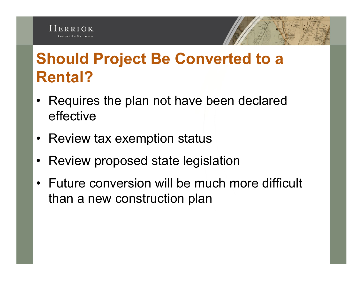#### HERRICK Committed to Your Success

#### **Should Project Be Converted to a Rental?**

- Requires the plan not have been declared effective
- Review tax exemption status
- Review proposed state legislation
- Future conversion will be much more difficult than a new construction plan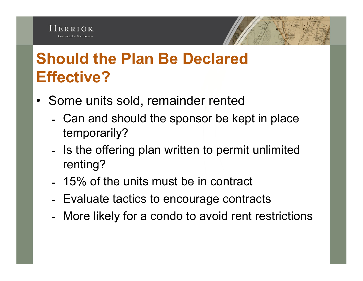## **Should the Plan Be Declared Effective?**

- Some units sold, remainder rented
	- ـ Can and should the sponsor be kept in place temporarily?
	- ـ Is the offering plan written to permit unlimited renting?
	- ـ 15% of the units must be in contract
	- ـ Evaluate tactics to encourage contracts
	- ـ More likely for a condo to avoid rent restrictions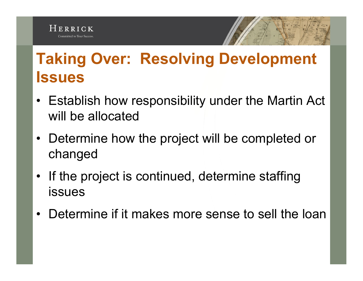

## **Taking Over: Resolving Development Issues**

- Establish how responsibility under the Martin Act will be allocated
- Determine how the project will be completed or changed
- If the project is continued, determine staffing issues
- Determine if it makes more sense to sell the loan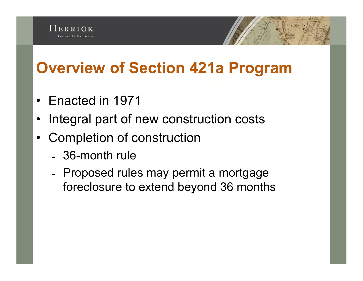## **Overview of Section 421a Program**

- Enacted in 1971
- Integral part of new construction costs
- Completion of construction
	- ـ 36-month rule
	- ـ Proposed rules may permit a mortgage foreclosure to extend beyond 36 months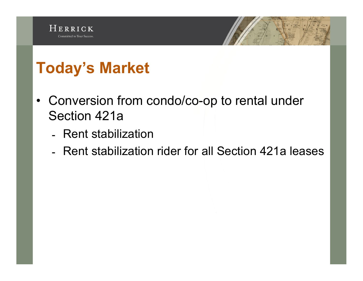

- Conversion from condo/co-op to rental under Section 421a
	- ـ Rent stabilization
	- ـ Rent stabilization rider for all Section 421a leases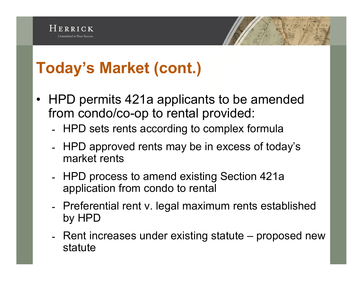#### **Today's Market (cont.)**

- HPD permits 421a applicants to be amended from condo/co-op to rental provided:
	- ـ HPD sets rents according to complex formula
	- ـ HPD approved rents may be in excess of today's market rents
	- ـ HPD process to amend existing Section 421a application from condo to rental
	- ـ Preferential rent v. legal maximum rents established by HPD
	- ـ Rent increases under existing statute proposed new statute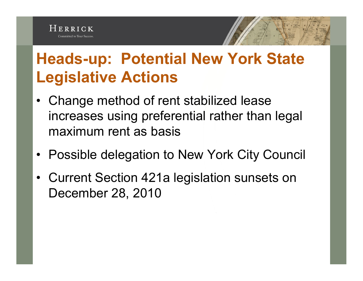## **Heads-up: Potential New York State Legislative Actions**

- Change method of rent stabilized lease increases using preferential rather than legal maximum rent as basis
- Possible delegation to New York City Council
- Current Section 421a legislation sunsets on December 28, 2010